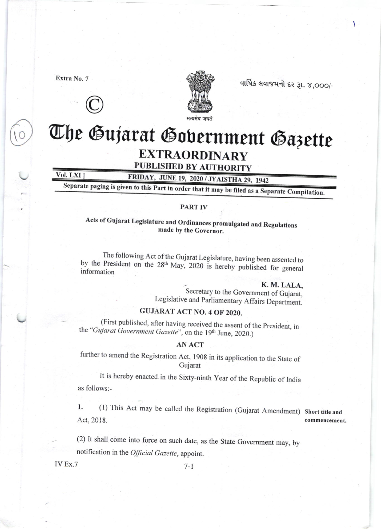Extra No. 7





વાર્ષિક લવાજમનો દર રૂા. ૪,૦૦૦/-

# The Gujarat Gobernment Gazette EXTRAORDINARY

## PUBLISHED BY AUTHORITY

Vol. LXI J FRIDAY, JUNE 19, 2020 / JYAISTHA 29, 1942<br>Separate paging is given to this Part in order that it may be filed as a Separate Compilation.

### PART IV

Acts of Gujarat Legislature and Ordinances promulgated and Regulations made by the Governor.

The following Act of the Gujarat Legislature, having been assented to by the President on the 28<sup>th</sup> May, 2020 is hereby published for general information

K. M. LALA,<br>Secretary to the Government of Gujarat, Legislative and parliamentary Affairs Oepartment.

## GUJARAT ACT NO. 4 OF 2020.

(First published, after having received the assent of the President, in the "Gujarat Government Gazette", on the 19<sup>th</sup> June, 2020.)

## ANACT

further to amend the Registration Act, l90g in its application to the State of Gujarat

It is hereby enacted in the Sixty-ninth year of the Republic of India as follows:-

1. (1) This Act may be called the Registration (Gujarat Amendment) Short title and Act,2018. commencement.

(2) It shall come into force on such date, as the State Government may, by notification in the Official Gazette, appoint.

IV Ex.7  $7-1$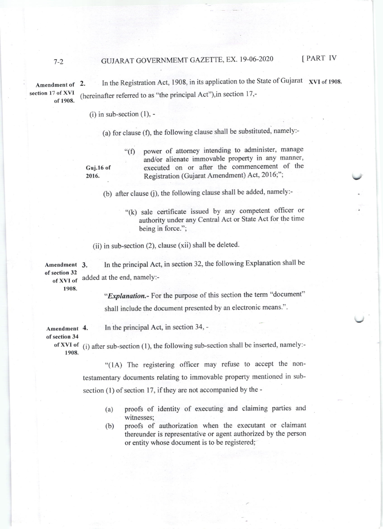Amendment of section 17 of XVI of 190E. 2. In the Registration Act, 1908, in its application to the State of Gujarat xvI of 1908. (hereinafter referred to as "the principat Act"),in section 17,-

 $(i)$  in sub-section  $(1)$ , -

(a) for clause (f), the following clause shall be substituted, namely:-

"(f) power of attomey intending to administer, manage and/or alienate immovable property in any manner, Guj.16 of executed on or after the commencement of the<br>2016. Registration (Gujarat Amendment) Act, 2016;"; Registration (Gujarat Amendment) Act, 2016;";

(b) after clause (j), the following clause shall be added, namely:-

"(k) sale certificate issued by any competent officer or authority under any Central Act or State Act for the time being in force.";

(ii) in sub-section (2), clause (xii) shall be deleted.

In the principal Act, in section 32, the following Explanation shall be added at the end, namely:- Amendment 3. of section 32 of XVI of

1908.

"Explanation.- For the purpose of this section the term "document" shall include the document presented by an electronic means'"'

Amendment 4.

In the principal Act, in section 34, -

of section 34

of XVI of  $(i)$  after sub-section (1), the following sub-section shall be inserted, namely:-1908.

> "(lA) The registering officer may refuse to accept the nontestamentary documents relating to immovable property mentioned in subsection (1) of section 17, if they are not accompanied by the -

- (a) proofs of identity of executing and claiming parties and witnesses;
- (b) proofs of authorization when the executant or claimant thereunder is representative or agent authorized by the person or entity whose document is to be registered;